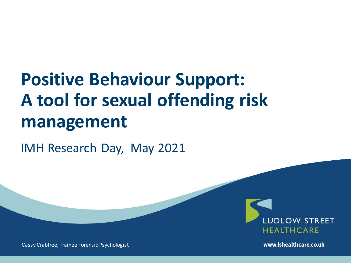# **Positive Behaviour Support: A tool for sexual offending risk management**

IMH Research Day, May 2021



Cassy Crabtree, Trainee Forensic Psychologist

www.lshealthcare.co.uk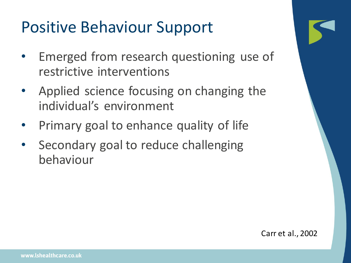## Positive Behaviour Support

- Emerged from research questioning use of restrictive interventions
- Applied science focusing on changing the individual's environment
- Primary goal to enhance quality of life
- Secondary goal to reduce challenging behaviour

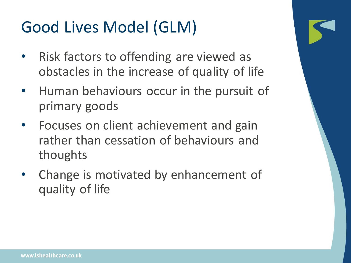# Good Lives Model (GLM)

- Risk factors to offending are viewed as obstacles in the increase of quality of life
- Human behaviours occur in the pursuit of primary goods
- Focuses on client achievement and gain rather than cessation of behaviours and thoughts
- Change is motivated by enhancement of quality of life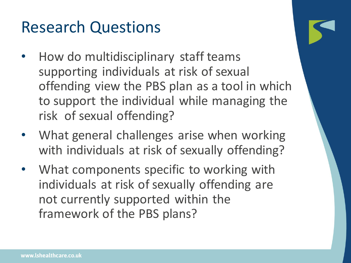#### Research Questions

- How do multidisciplinary staff teams supporting individuals at risk of sexual offending view the PBS plan as a tool in which to support the individual while managing the risk of sexual offending?
- What general challenges arise when working with individuals at risk of sexually offending?
- What components specific to working with individuals at risk of sexually offending are not currently supported within the framework of the PBS plans?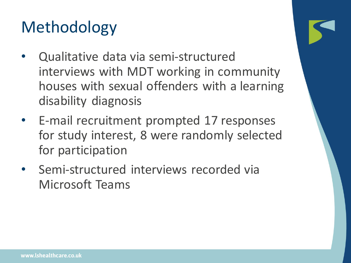# Methodology

- Qualitative data via semi-structured interviews with MDT working in community houses with sexual offenders with a learning disability diagnosis
- E-mail recruitment prompted 17 responses for study interest, 8 were randomly selected for participation
- Semi-structured interviews recorded via Microsoft Teams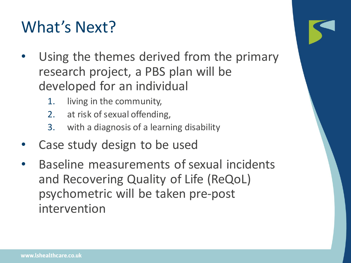## What's Next?

- Using the themes derived from the primary research project, a PBS plan will be developed for an individual
	- 1. living in the community,
	- 2. at risk of sexual offending,
	- 3. with a diagnosis of a learning disability
- Case study design to be used
- Baseline measurements of sexual incidents and Recovering Quality of Life (ReQoL) psychometric will be taken pre-post intervention